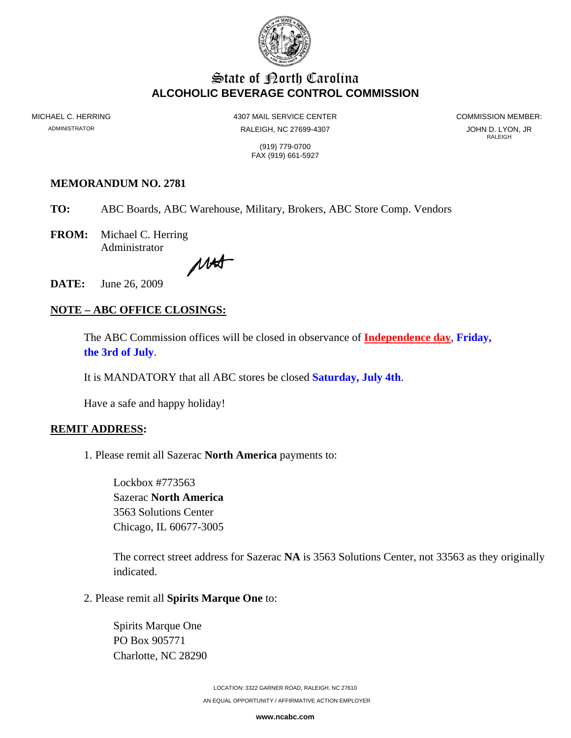

# **State of Porth Carolina ALCOHOLIC BEVERAGE CONTROL COMMISSION**

MICHAEL C. HERRING 4307 MAIL SERVICE CENTER COMMISSION MEMBER: ADMINISTRATOR **RALEIGH, NC 27699-4307** (RALEIGH, NC 27699-4307 SADMINISTRATOR RALEIGH), JR RALEIGH **RALEIGH** 

 (919) 779-0700 FAX (919) 661-5927

#### **MEMORANDUM NO. 2781**

- **TO:** ABC Boards, ABC Warehouse, Military, Brokers, ABC Store Comp. Vendors
- **FROM:** Michael C. Herring Administrator

MAS

**DATE:** June 26, 2009

## **NOTE – ABC OFFICE CLOSINGS:**

The ABC Commission offices will be closed in observance of **Independence day**, **Friday, the 3rd of July**.

It is MANDATORY that all ABC stores be closed **Saturday, July 4th**.

Have a safe and happy holiday!

#### **REMIT ADDRESS:**

1. Please remit all Sazerac **North America** payments to:

Lockbox #773563 Sazerac **North America** 3563 Solutions Center Chicago, IL 60677-3005

The correct street address for Sazerac **NA** is 3563 Solutions Center, not 33563 as they originally indicated.

2. Please remit all **Spirits Marque One** to:

Spirits Marque One PO Box 905771 Charlotte, NC 28290

> LOCATION: 3322 GARNER ROAD, RALEIGH, NC 27610 AN EQUAL OPPORTUNITY / AFFIRMATIVE ACTION EMPLOYER

> > **www.ncabc.com**